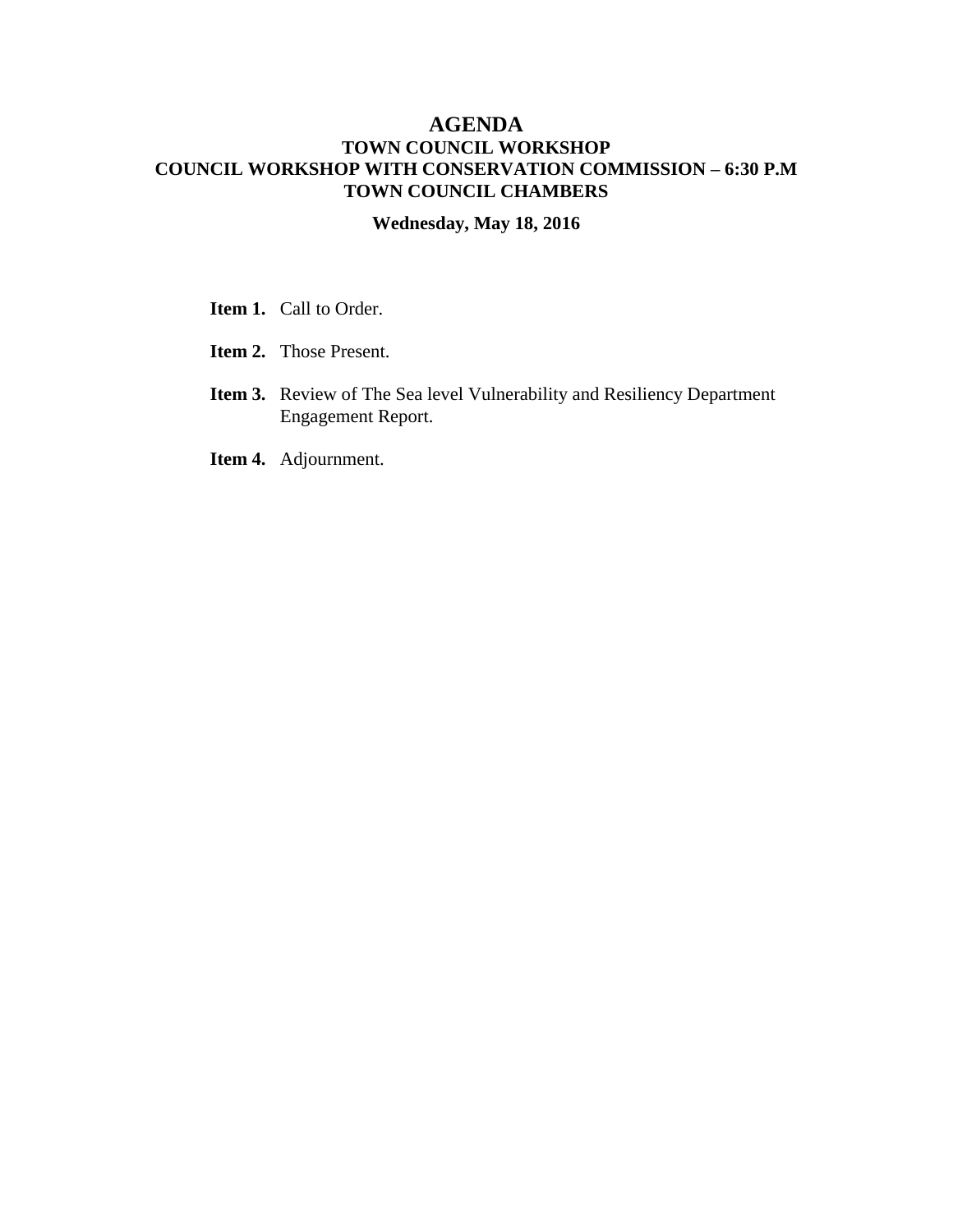## **AGENDA TOWN COUNCIL WORKSHOP COUNCIL WORKSHOP WITH CONSERVATION COMMISSION – 6:30 P.M TOWN COUNCIL CHAMBERS**

## **Wednesday, May 18, 2016**

- **Item 1.** Call to Order.
- **Item 2.** Those Present.
- **Item 3.** Review of The Sea level Vulnerability and Resiliency Department Engagement Report.
- **Item 4.** Adjournment.